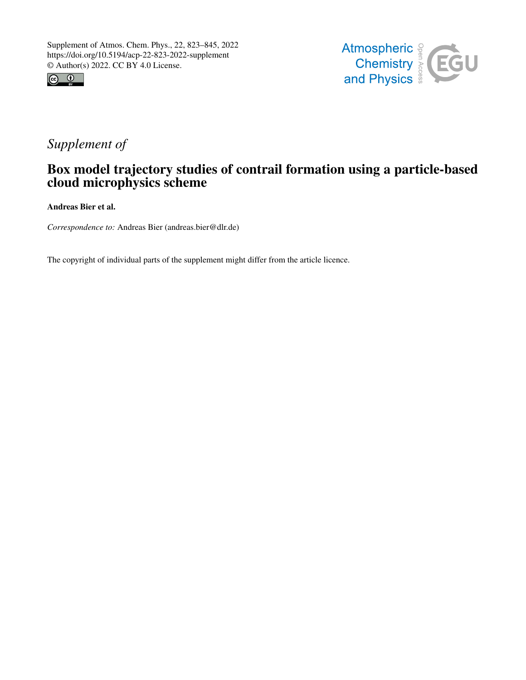



# *Supplement of*

## Box model trajectory studies of contrail formation using a particle-based cloud microphysics scheme

Andreas Bier et al.

*Correspondence to:* Andreas Bier (andreas.bier@dlr.de)

The copyright of individual parts of the supplement might differ from the article licence.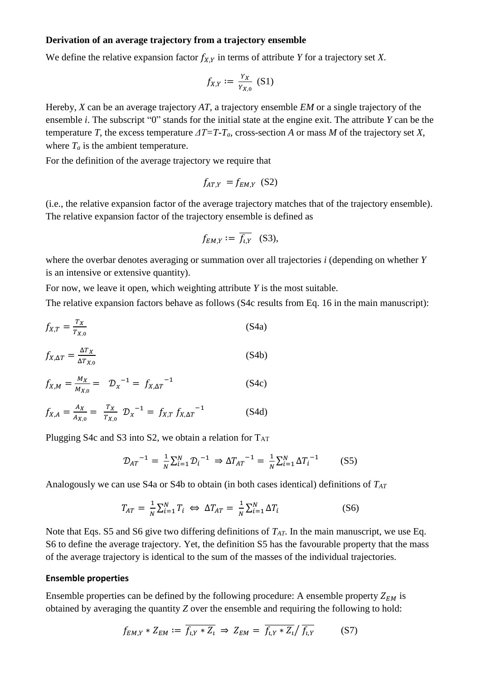#### **Derivation of an average trajectory from a trajectory ensemble**

We define the relative expansion factor  $f_{X,Y}$  in terms of attribute *Y* for a trajectory set *X*.

$$
f_{X,Y} := \frac{Y_X}{Y_{X,0}} \text{ (S1)}
$$

Hereby, *X* can be an average trajectory *AT*, a trajectory ensemble *EM* or a single trajectory of the ensemble *i*. The subscript "0" stands for the initial state at the engine exit. The attribute *Y* can be the temperature *T*, the excess temperature  $\Delta T = T - T_a$ , cross-section *A* or mass *M* of the trajectory set *X*, where  $T_a$  is the ambient temperature.

For the definition of the average trajectory we require that

$$
f_{AT,Y} = f_{EM,Y} \text{ (S2)}
$$

(i.e., the relative expansion factor of the average trajectory matches that of the trajectory ensemble). The relative expansion factor of the trajectory ensemble is defined as

$$
f_{EM,Y} := \overline{f_{\iota,Y}} \quad (S3),
$$

where the overbar denotes averaging or summation over all trajectories *i* (depending on whether *Y* is an intensive or extensive quantity).

For now, we leave it open, which weighting attribute *Y* is the most suitable.

The relative expansion factors behave as follows (S4c results from Eq. 16 in the main manuscript):

$$
f_{X,T} = \frac{r_X}{r_{X,0}}
$$
 (S4a)  

$$
f_{X,\Delta T} = \frac{\Delta r_X}{\Delta r_{X}} \tag{S4b}
$$

$$
f_{X,M} = \frac{M_X}{M_{X,0}} = D_X^{-1} = f_{X,\Delta T}^{-1}
$$
 (S4c)

$$
f_{X,A} = \frac{A_X}{A_{X,0}} = \frac{T_X}{T_{X,0}} \mathcal{D}_X^{-1} = f_{X,T} f_{X,\Delta T}^{-1}
$$
 (S4d)

Plugging S4c and S3 into S2, we obtain a relation for  $T_{AT}$ 

$$
\mathcal{D}_{AT}^{-1} = \frac{1}{N} \sum_{i=1}^{N} \mathcal{D}_{i}^{-1} \Rightarrow \Delta T_{AT}^{-1} = \frac{1}{N} \sum_{i=1}^{N} \Delta T_{i}^{-1} \tag{S5}
$$

Analogously we can use S4a or S4b to obtain (in both cases identical) definitions of *TAT*

$$
T_{AT} = \frac{1}{N} \sum_{i=1}^{N} T_i \iff \Delta T_{AT} = \frac{1}{N} \sum_{i=1}^{N} \Delta T_i
$$
 (S6)

Note that Eqs. S5 and S6 give two differing definitions of *TAT*. In the main manuscript, we use Eq. S6 to define the average trajectory. Yet, the definition S5 has the favourable property that the mass of the average trajectory is identical to the sum of the masses of the individual trajectories.

#### **Ensemble properties**

Ensemble properties can be defined by the following procedure: A ensemble property  $Z_{EM}$  is obtained by averaging the quantity *Z* over the ensemble and requiring the following to hold:

$$
f_{EM,Y} * Z_{EM} := \overline{f_{l,Y} * Z_l} \Rightarrow Z_{EM} = \overline{f_{l,Y} * Z_l} / \overline{f_{l,Y}}
$$
 (S7)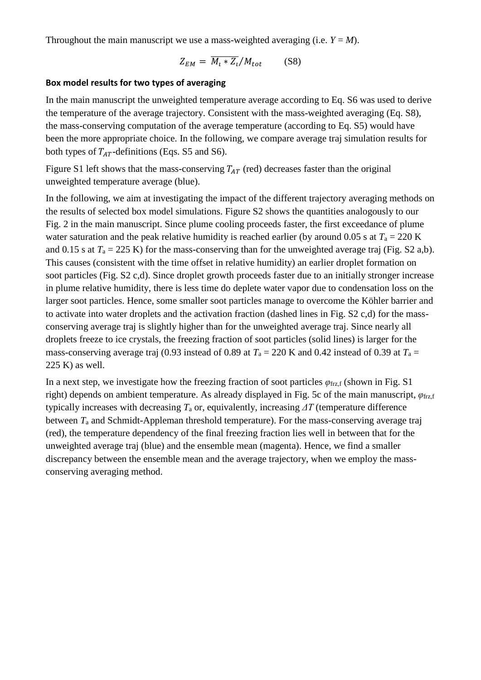Throughout the main manuscript we use a mass-weighted averaging (i.e.  $Y = M$ ).

$$
Z_{EM} = \overline{M_i * Z_i}/M_{tot} \qquad (S8)
$$

### **Box model results for two types of averaging**

In the main manuscript the unweighted temperature average according to Eq. S6 was used to derive the temperature of the average trajectory. Consistent with the mass-weighted averaging (Eq. S8), the mass-conserving computation of the average temperature (according to Eq. S5) would have been the more appropriate choice. In the following, we compare average traj simulation results for both types of  $T_{AT}$ -definitions (Eqs. S5 and S6).

Figure S1 left shows that the mass-conserving  $T_{AT}$  (red) decreases faster than the original unweighted temperature average (blue).

In the following, we aim at investigating the impact of the different trajectory averaging methods on the results of selected box model simulations. Figure S2 shows the quantities analogously to our Fig. 2 in the main manuscript. Since plume cooling proceeds faster, the first exceedance of plume water saturation and the peak relative humidity is reached earlier (by around 0.05 s at  $T_a = 220$  K and 0.15 s at  $T_a = 225$  K) for the mass-conserving than for the unweighted average traj (Fig. S2 a,b). This causes (consistent with the time offset in relative humidity) an earlier droplet formation on soot particles (Fig. S2 c,d). Since droplet growth proceeds faster due to an initially stronger increase in plume relative humidity, there is less time do deplete water vapor due to condensation loss on the larger soot particles. Hence, some smaller soot particles manage to overcome the Köhler barrier and to activate into water droplets and the activation fraction (dashed lines in Fig. S2 c,d) for the massconserving average traj is slightly higher than for the unweighted average traj. Since nearly all droplets freeze to ice crystals, the freezing fraction of soot particles (solid lines) is larger for the mass-conserving average traj (0.93 instead of 0.89 at  $T_a = 220$  K and 0.42 instead of 0.39 at  $T_a =$ 225 K) as well.

In a next step, we investigate how the freezing fraction of soot particles  $\varphi_{\text{frz},f}$  (shown in Fig. S1) right) depends on ambient temperature. As already displayed in Fig. 5c of the main manuscript, *φ*frz,f typically increases with decreasing *T*<sup>a</sup> or, equivalently, increasing *ΔT* (temperature difference between *T*<sup>a</sup> and Schmidt-Appleman threshold temperature). For the mass-conserving average traj (red), the temperature dependency of the final freezing fraction lies well in between that for the unweighted average traj (blue) and the ensemble mean (magenta). Hence, we find a smaller discrepancy between the ensemble mean and the average trajectory, when we employ the massconserving averaging method.